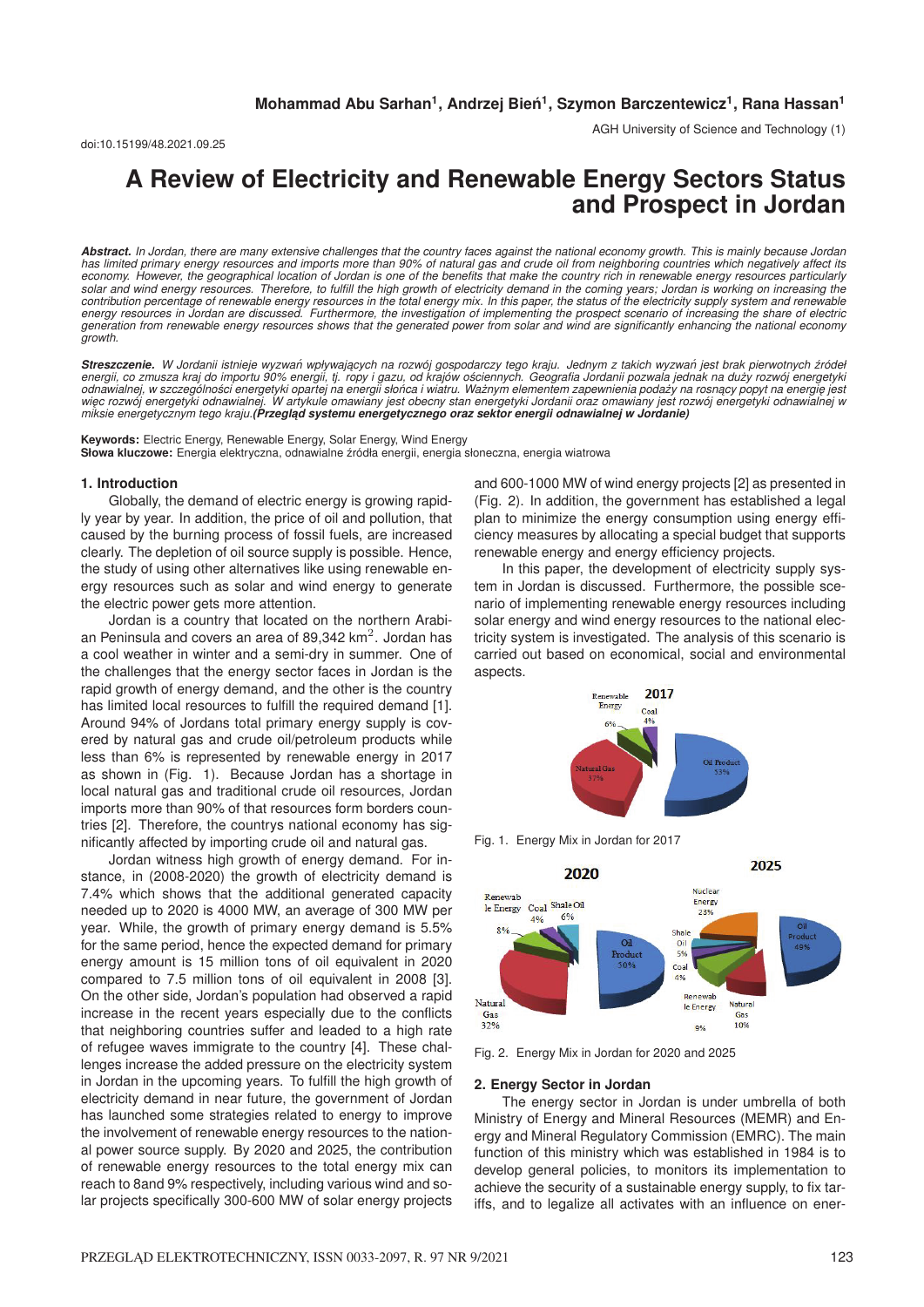AGH University of Science and Technology (1)

# **A Review of Electricity and Renewable Energy Sectors Status and Prospect in Jordan**

*Abstract. In Jordan, there are many extensive challenges that the country faces against the national economy growth. This is mainly because Jordan has limited primary energy resources and imports more than 90% of natural gas and crude oil from neighboring countries which negatively affect its economy. However, the geographical location of Jordan is one of the benefits that make the country rich in renewable energy resources particularly* solar and wind energy resources. Therefore, to fulfill the high growth of electricity demand in the coming years; Jordan is working on increasing the<br>contribution percentage of renewable energy resources in the total energ *energy resources in Jordan are discussed. Furthermore, the investigation of implementing the prospect scenario of increasing the share of electric generation from renewable energy resources shows that the generated power from solar and wind are significantly enhancing the national economy growth.*

Streszczenie. W Jordanii istnieje wyzwań wpływających na rozwój gospodarczy tego kraju. Jednym z takich wyzwań jest brak pierwotnych źródeł energii, co zmusza kraj do importu 90% energii, tj. ropy i gazu, od krajów ościennych. Geografia Jordanii pozwala jednak na duży rozwój energetyk<br>odnawialnej, w szczególności energetyki opartej na energii słońca i wiatru. więc rozwój energetyki odnawialnej. W artykule omawiany jest obecny stan energetyki Jordanii oraz omawiany jest rozwój energetyki odnawialnej w *miksie energetycznym tego kraju.(Przegl ˛ad systemu energetycznego oraz sektor energii odnawialnej w Jordanie)*

**Keywords:** Electric Energy, Renewable Energy, Solar Energy, Wind Energy **Słowa kluczowe:** Energia elektryczna, odnawialne ´zródła energii, energia słoneczna, energia wiatrowa

#### **1. Introduction**

Globally, the demand of electric energy is growing rapidly year by year. In addition, the price of oil and pollution, that caused by the burning process of fossil fuels, are increased clearly. The depletion of oil source supply is possible. Hence, the study of using other alternatives like using renewable energy resources such as solar and wind energy to generate the electric power gets more attention.

Jordan is a country that located on the northern Arabian Peninsula and covers an area of 89,342  $km<sup>2</sup>$ . Jordan has a cool weather in winter and a semi-dry in summer. One of the challenges that the energy sector faces in Jordan is the rapid growth of energy demand, and the other is the country has limited local resources to fulfill the required demand [1]. Around 94% of Jordans total primary energy supply is covered by natural gas and crude oil/petroleum products while less than 6% is represented by renewable energy in 2017 as shown in (Fig. 1). Because Jordan has a shortage in local natural gas and traditional crude oil resources, Jordan imports more than 90% of that resources form borders countries [2]. Therefore, the countrys national economy has significantly affected by importing crude oil and natural gas.

Jordan witness high growth of energy demand. For instance, in (2008-2020) the growth of electricity demand is 7.4% which shows that the additional generated capacity needed up to 2020 is 4000 MW, an average of 300 MW per year. While, the growth of primary energy demand is 5.5% for the same period, hence the expected demand for primary energy amount is 15 million tons of oil equivalent in 2020 compared to 7.5 million tons of oil equivalent in 2008 [3]. On the other side, Jordan's population had observed a rapid increase in the recent years especially due to the conflicts that neighboring countries suffer and leaded to a high rate of refugee waves immigrate to the country [4]. These challenges increase the added pressure on the electricity system in Jordan in the upcoming years. To fulfill the high growth of electricity demand in near future, the government of Jordan has launched some strategies related to energy to improve the involvement of renewable energy resources to the national power source supply. By 2020 and 2025, the contribution of renewable energy resources to the total energy mix can reach to 8and 9% respectively, including various wind and solar projects specifically 300-600 MW of solar energy projects

and 600-1000 MW of wind energy projects [2] as presented in (Fig. 2). In addition, the government has established a legal plan to minimize the energy consumption using energy efficiency measures by allocating a special budget that supports renewable energy and energy efficiency projects.

In this paper, the development of electricity supply system in Jordan is discussed. Furthermore, the possible scenario of implementing renewable energy resources including solar energy and wind energy resources to the national electricity system is investigated. The analysis of this scenario is carried out based on economical, social and environmental aspects.



Fig. 1. Energy Mix in Jordan for 2017



Fig. 2. Energy Mix in Jordan for 2020 and 2025

#### **2. Energy Sector in Jordan**

The energy sector in Jordan is under umbrella of both Ministry of Energy and Mineral Resources (MEMR) and Energy and Mineral Regulatory Commission (EMRC). The main function of this ministry which was established in 1984 is to develop general policies, to monitors its implementation to achieve the security of a sustainable energy supply, to fix tariffs, and to legalize all activates with an influence on ener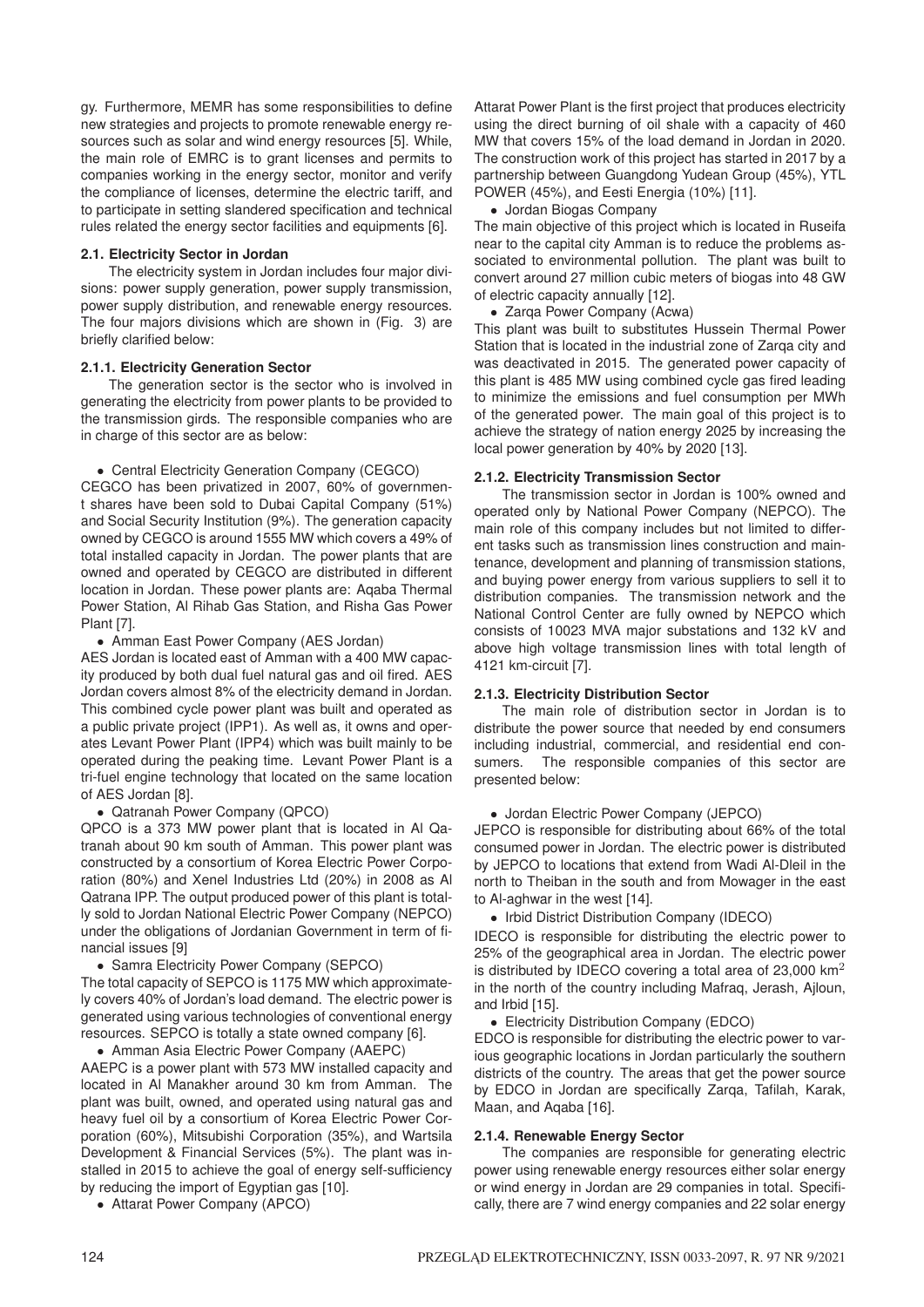gy. Furthermore, MEMR has some responsibilities to define new strategies and projects to promote renewable energy resources such as solar and wind energy resources [5]. While, the main role of EMRC is to grant licenses and permits to companies working in the energy sector, monitor and verify the compliance of licenses, determine the electric tariff, and to participate in setting slandered specification and technical rules related the energy sector facilities and equipments [6].

## **2.1. Electricity Sector in Jordan**

The electricity system in Jordan includes four major divisions: power supply generation, power supply transmission, power supply distribution, and renewable energy resources. The four majors divisions which are shown in (Fig. 3) are briefly clarified below:

### **2.1.1. Electricity Generation Sector**

The generation sector is the sector who is involved in generating the electricity from power plants to be provided to the transmission girds. The responsible companies who are in charge of this sector are as below:

• Central Electricity Generation Company (CEGCO)

CEGCO has been privatized in 2007, 60% of government shares have been sold to Dubai Capital Company (51%) and Social Security Institution (9%). The generation capacity owned by CEGCO is around 1555 MW which covers a 49% of total installed capacity in Jordan. The power plants that are owned and operated by CEGCO are distributed in different location in Jordan. These power plants are: Aqaba Thermal Power Station, Al Rihab Gas Station, and Risha Gas Power Plant [7].

#### • Amman East Power Company (AES Jordan)

AES Jordan is located east of Amman with a 400 MW capacity produced by both dual fuel natural gas and oil fired. AES Jordan covers almost 8% of the electricity demand in Jordan. This combined cycle power plant was built and operated as a public private project (IPP1). As well as, it owns and operates Levant Power Plant (IPP4) which was built mainly to be operated during the peaking time. Levant Power Plant is a tri-fuel engine technology that located on the same location of AES Jordan [8].

#### • Qatranah Power Company (QPCO)

QPCO is a 373 MW power plant that is located in Al Qatranah about 90 km south of Amman. This power plant was constructed by a consortium of Korea Electric Power Corporation (80%) and Xenel Industries Ltd (20%) in 2008 as Al Qatrana IPP. The output produced power of this plant is totally sold to Jordan National Electric Power Company (NEPCO) under the obligations of Jordanian Government in term of financial issues [9]

#### • Samra Electricity Power Company (SEPCO)

The total capacity of SEPCO is 1175 MW which approximately covers 40% of Jordan's load demand. The electric power is generated using various technologies of conventional energy resources. SEPCO is totally a state owned company [6].

• Amman Asia Electric Power Company (AAEPC)

AAEPC is a power plant with 573 MW installed capacity and located in Al Manakher around 30 km from Amman. The plant was built, owned, and operated using natural gas and heavy fuel oil by a consortium of Korea Electric Power Corporation (60%), Mitsubishi Corporation (35%), and Wartsila Development & Financial Services (5%). The plant was installed in 2015 to achieve the goal of energy self-sufficiency by reducing the import of Egyptian gas [10].

• Attarat Power Company (APCO)

Attarat Power Plant is the first project that produces electricity using the direct burning of oil shale with a capacity of 460 MW that covers 15% of the load demand in Jordan in 2020. The construction work of this project has started in 2017 by a partnership between Guangdong Yudean Group (45%), YTL POWER (45%), and Eesti Energia (10%) [11].

• Jordan Biogas Company

The main objective of this project which is located in Ruseifa near to the capital city Amman is to reduce the problems associated to environmental pollution. The plant was built to convert around 27 million cubic meters of biogas into 48 GW of electric capacity annually [12].

• Zarqa Power Company (Acwa)

This plant was built to substitutes Hussein Thermal Power Station that is located in the industrial zone of Zarqa city and was deactivated in 2015. The generated power capacity of this plant is 485 MW using combined cycle gas fired leading to minimize the emissions and fuel consumption per MWh of the generated power. The main goal of this project is to achieve the strategy of nation energy 2025 by increasing the local power generation by 40% by 2020 [13].

# **2.1.2. Electricity Transmission Sector**

The transmission sector in Jordan is 100% owned and operated only by National Power Company (NEPCO). The main role of this company includes but not limited to different tasks such as transmission lines construction and maintenance, development and planning of transmission stations, and buying power energy from various suppliers to sell it to distribution companies. The transmission network and the National Control Center are fully owned by NEPCO which consists of 10023 MVA major substations and 132 kV and above high voltage transmission lines with total length of 4121 km-circuit [7].

#### **2.1.3. Electricity Distribution Sector**

The main role of distribution sector in Jordan is to distribute the power source that needed by end consumers including industrial, commercial, and residential end consumers. The responsible companies of this sector are presented below:

#### • Jordan Electric Power Company (JEPCO)

JEPCO is responsible for distributing about 66% of the total consumed power in Jordan. The electric power is distributed by JEPCO to locations that extend from Wadi Al-Dleil in the north to Theiban in the south and from Mowager in the east to Al-aghwar in the west [14].

• Irbid District Distribution Company (IDECO)

IDECO is responsible for distributing the electric power to 25% of the geographical area in Jordan. The electric power is distributed by IDECO covering a total area of 23,000  $km<sup>2</sup>$ in the north of the country including Mafraq, Jerash, Ajloun, and Irbid [15].

• Electricity Distribution Company (EDCO)

EDCO is responsible for distributing the electric power to various geographic locations in Jordan particularly the southern districts of the country. The areas that get the power source by EDCO in Jordan are specifically Zarqa, Tafilah, Karak, Maan, and Aqaba [16].

#### **2.1.4. Renewable Energy Sector**

The companies are responsible for generating electric power using renewable energy resources either solar energy or wind energy in Jordan are 29 companies in total. Specifically, there are 7 wind energy companies and 22 solar energy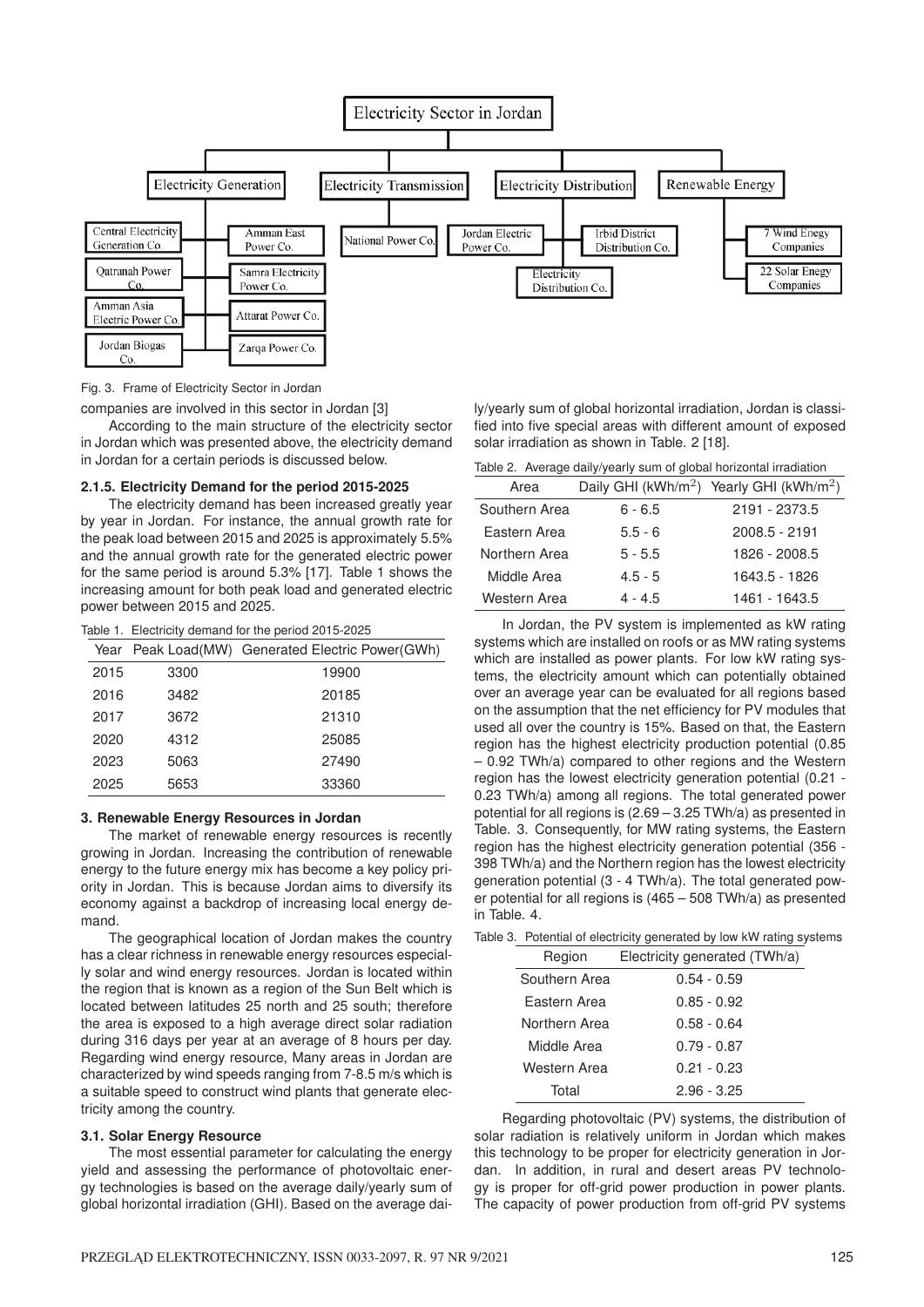

Fig. 3. Frame of Electricity Sector in Jordan

companies are involved in this sector in Jordan [3]

According to the main structure of the electricity sector in Jordan which was presented above, the electricity demand in Jordan for a certain periods is discussed below.

#### **2.1.5. Electricity Demand for the period 2015-2025**

The electricity demand has been increased greatly year by year in Jordan. For instance, the annual growth rate for the peak load between 2015 and 2025 is approximately 5.5% and the annual growth rate for the generated electric power for the same period is around 5.3% [17]. Table 1 shows the increasing amount for both peak load and generated electric power between 2015 and 2025.

Table 1. Electricity demand for the period 2015-2025

|      |      | Year Peak Load(MW) Generated Electric Power(GWh) |
|------|------|--------------------------------------------------|
| 2015 | 3300 | 19900                                            |
| 2016 | 3482 | 20185                                            |
| 2017 | 3672 | 21310                                            |
| 2020 | 4312 | 25085                                            |
| 2023 | 5063 | 27490                                            |
| 2025 | 5653 | 33360                                            |

#### **3. Renewable Energy Resources in Jordan**

The market of renewable energy resources is recently growing in Jordan. Increasing the contribution of renewable energy to the future energy mix has become a key policy priority in Jordan. This is because Jordan aims to diversify its economy against a backdrop of increasing local energy demand.

The geographical location of Jordan makes the country has a clear richness in renewable energy resources especially solar and wind energy resources. Jordan is located within the region that is known as a region of the Sun Belt which is located between latitudes 25 north and 25 south; therefore the area is exposed to a high average direct solar radiation during 316 days per year at an average of 8 hours per day. Regarding wind energy resource, Many areas in Jordan are characterized by wind speeds ranging from 7-8.5 m/s which is a suitable speed to construct wind plants that generate electricity among the country.

#### **3.1. Solar Energy Resource**

The most essential parameter for calculating the energy yield and assessing the performance of photovoltaic energy technologies is based on the average daily/yearly sum of global horizontal irradiation (GHI). Based on the average daily/yearly sum of global horizontal irradiation, Jordan is classified into five special areas with different amount of exposed solar irradiation as shown in Table. 2 [18].

|  |  | Table 2. Average daily/yearly sum of global horizontal irradiation |  |  |  |  |
|--|--|--------------------------------------------------------------------|--|--|--|--|
|--|--|--------------------------------------------------------------------|--|--|--|--|

| Area          |           | Daily GHI (kWh/m <sup>2</sup> ) Yearly GHI (kWh/m <sup>2</sup> ) |
|---------------|-----------|------------------------------------------------------------------|
| Southern Area | $6 - 6.5$ | 2191 - 2373.5                                                    |
| Eastern Area  | $5.5 - 6$ | 2008.5 - 2191                                                    |
| Northern Area | $5 - 5.5$ | 1826 - 2008.5                                                    |
| Middle Area   | $4.5 - 5$ | 1643.5 - 1826                                                    |
| Western Area  | $4 - 4.5$ | 1461 - 1643.5                                                    |

In Jordan, the PV system is implemented as kW rating systems which are installed on roofs or as MW rating systems which are installed as power plants. For low kW rating systems, the electricity amount which can potentially obtained over an average year can be evaluated for all regions based on the assumption that the net efficiency for PV modules that used all over the country is 15%. Based on that, the Eastern region has the highest electricity production potential (0.85 – 0.92 TWh/a) compared to other regions and the Western region has the lowest electricity generation potential (0.21 - 0.23 TWh/a) among all regions. The total generated power potential for all regions is (2.69 – 3.25 TWh/a) as presented in Table. 3. Consequently, for MW rating systems, the Eastern region has the highest electricity generation potential (356 - 398 TWh/a) and the Northern region has the lowest electricity generation potential (3 - 4 TWh/a). The total generated power potential for all regions is (465 – 508 TWh/a) as presented in Table. 4.

Table 3. Potential of electricity generated by low kW rating systems

| Region        | Electricity generated (TWh/a) |
|---------------|-------------------------------|
| Southern Area | 0.54 - 0.59                   |
| Eastern Area  | $0.85 - 0.92$                 |
| Northern Area | $0.58 - 0.64$                 |
| Middle Area   | $0.79 - 0.87$                 |
| Western Area  | $0.21 - 0.23$                 |
| Total         | $2.96 - 3.25$                 |

Regarding photovoltaic (PV) systems, the distribution of solar radiation is relatively uniform in Jordan which makes this technology to be proper for electricity generation in Jordan. In addition, in rural and desert areas PV technology is proper for off-grid power production in power plants. The capacity of power production from off-grid PV systems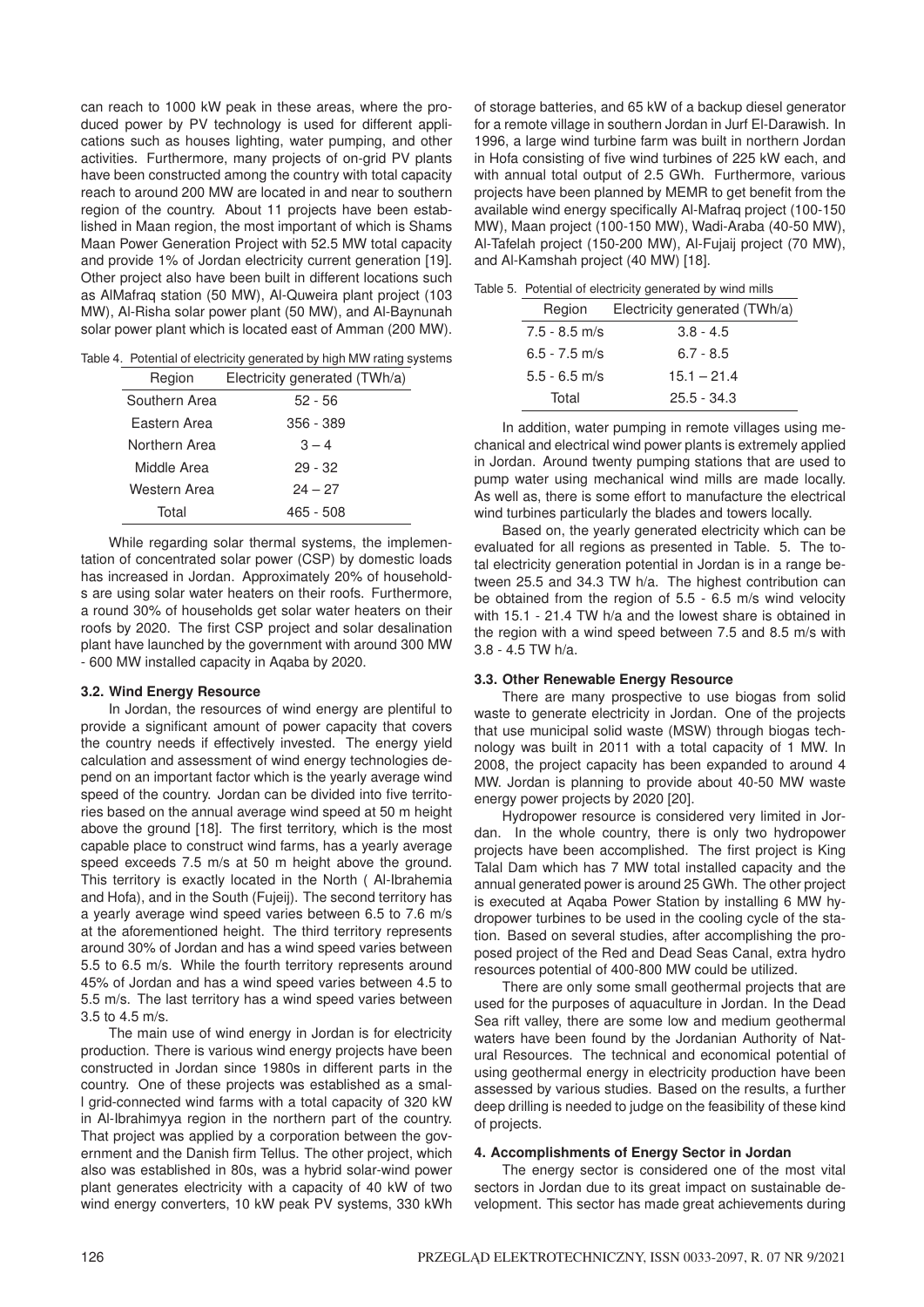can reach to 1000 kW peak in these areas, where the produced power by PV technology is used for different applications such as houses lighting, water pumping, and other activities. Furthermore, many projects of on-grid PV plants have been constructed among the country with total capacity reach to around 200 MW are located in and near to southern region of the country. About 11 projects have been established in Maan region, the most important of which is Shams Maan Power Generation Project with 52.5 MW total capacity and provide 1% of Jordan electricity current generation [19]. Other project also have been built in different locations such as AlMafraq station (50 MW), Al-Quweira plant project (103 MW), Al-Risha solar power plant (50 MW), and Al-Baynunah solar power plant which is located east of Amman (200 MW).

Table 4. Potential of electricity generated by high MW rating systems

| Region        | Electricity generated (TWh/a) |
|---------------|-------------------------------|
| Southern Area | $52 - 56$                     |
| Fastern Area  | 356 - 389                     |
| Northern Area | $3 - 4$                       |
| Middle Area   | $29 - 32$                     |
| Western Area  | $24 - 27$                     |
| Total         | 465 - 508                     |
|               |                               |

While regarding solar thermal systems, the implementation of concentrated solar power (CSP) by domestic loads has increased in Jordan. Approximately 20% of households are using solar water heaters on their roofs. Furthermore, a round 30% of households get solar water heaters on their roofs by 2020. The first CSP project and solar desalination plant have launched by the government with around 300 MW - 600 MW installed capacity in Aqaba by 2020.

# **3.2. Wind Energy Resource**

In Jordan, the resources of wind energy are plentiful to provide a significant amount of power capacity that covers the country needs if effectively invested. The energy yield calculation and assessment of wind energy technologies depend on an important factor which is the yearly average wind speed of the country. Jordan can be divided into five territories based on the annual average wind speed at 50 m height above the ground [18]. The first territory, which is the most capable place to construct wind farms, has a yearly average speed exceeds 7.5 m/s at 50 m height above the ground. This territory is exactly located in the North ( Al-Ibrahemia and Hofa), and in the South (Fujeij). The second territory has a yearly average wind speed varies between 6.5 to 7.6 m/s at the aforementioned height. The third territory represents around 30% of Jordan and has a wind speed varies between 5.5 to 6.5 m/s. While the fourth territory represents around 45% of Jordan and has a wind speed varies between 4.5 to 5.5 m/s. The last territory has a wind speed varies between 3.5 to 4.5 m/s.

The main use of wind energy in Jordan is for electricity production. There is various wind energy projects have been constructed in Jordan since 1980s in different parts in the country. One of these projects was established as a small grid-connected wind farms with a total capacity of 320 kW in Al-Ibrahimyya region in the northern part of the country. That project was applied by a corporation between the government and the Danish firm Tellus. The other project, which also was established in 80s, was a hybrid solar-wind power plant generates electricity with a capacity of 40 kW of two wind energy converters, 10 kW peak PV systems, 330 kWh

of storage batteries, and 65 kW of a backup diesel generator for a remote village in southern Jordan in Jurf El-Darawish. In 1996, a large wind turbine farm was built in northern Jordan in Hofa consisting of five wind turbines of 225 kW each, and with annual total output of 2.5 GWh. Furthermore, various projects have been planned by MEMR to get benefit from the available wind energy specifically Al-Mafraq project (100-150 MW), Maan project (100-150 MW), Wadi-Araba (40-50 MW), Al-Tafelah project (150-200 MW), Al-Fujaij project (70 MW), and Al-Kamshah project (40 MW) [18].

Table 5. Potential of electricity generated by wind mills

| Region          | Electricity generated (TWh/a) |
|-----------------|-------------------------------|
| $7.5 - 8.5$ m/s | $3.8 - 4.5$                   |
| $6.5 - 7.5$ m/s | $6.7 - 8.5$                   |
| $5.5 - 6.5$ m/s | $15.1 - 21.4$                 |
| Total           | $25.5 - 34.3$                 |
|                 |                               |

In addition, water pumping in remote villages using mechanical and electrical wind power plants is extremely applied in Jordan. Around twenty pumping stations that are used to pump water using mechanical wind mills are made locally. As well as, there is some effort to manufacture the electrical wind turbines particularly the blades and towers locally.

Based on, the yearly generated electricity which can be evaluated for all regions as presented in Table. 5. The total electricity generation potential in Jordan is in a range between 25.5 and 34.3 TW h/a. The highest contribution can be obtained from the region of 5.5 - 6.5 m/s wind velocity with 15.1 - 21.4 TW h/a and the lowest share is obtained in the region with a wind speed between 7.5 and 8.5 m/s with 3.8 - 4.5 TW h/a.

# **3.3. Other Renewable Energy Resource**

There are many prospective to use biogas from solid waste to generate electricity in Jordan. One of the projects that use municipal solid waste (MSW) through biogas technology was built in 2011 with a total capacity of 1 MW. In 2008, the project capacity has been expanded to around 4 MW. Jordan is planning to provide about 40-50 MW waste energy power projects by 2020 [20].

Hydropower resource is considered very limited in Jordan. In the whole country, there is only two hydropower projects have been accomplished. The first project is King Talal Dam which has 7 MW total installed capacity and the annual generated power is around 25 GWh. The other project is executed at Aqaba Power Station by installing 6 MW hydropower turbines to be used in the cooling cycle of the station. Based on several studies, after accomplishing the proposed project of the Red and Dead Seas Canal, extra hydro resources potential of 400-800 MW could be utilized.

There are only some small geothermal projects that are used for the purposes of aquaculture in Jordan. In the Dead Sea rift valley, there are some low and medium geothermal waters have been found by the Jordanian Authority of Natural Resources. The technical and economical potential of using geothermal energy in electricity production have been assessed by various studies. Based on the results, a further deep drilling is needed to judge on the feasibility of these kind of projects.

# **4. Accomplishments of Energy Sector in Jordan**

The energy sector is considered one of the most vital sectors in Jordan due to its great impact on sustainable development. This sector has made great achievements during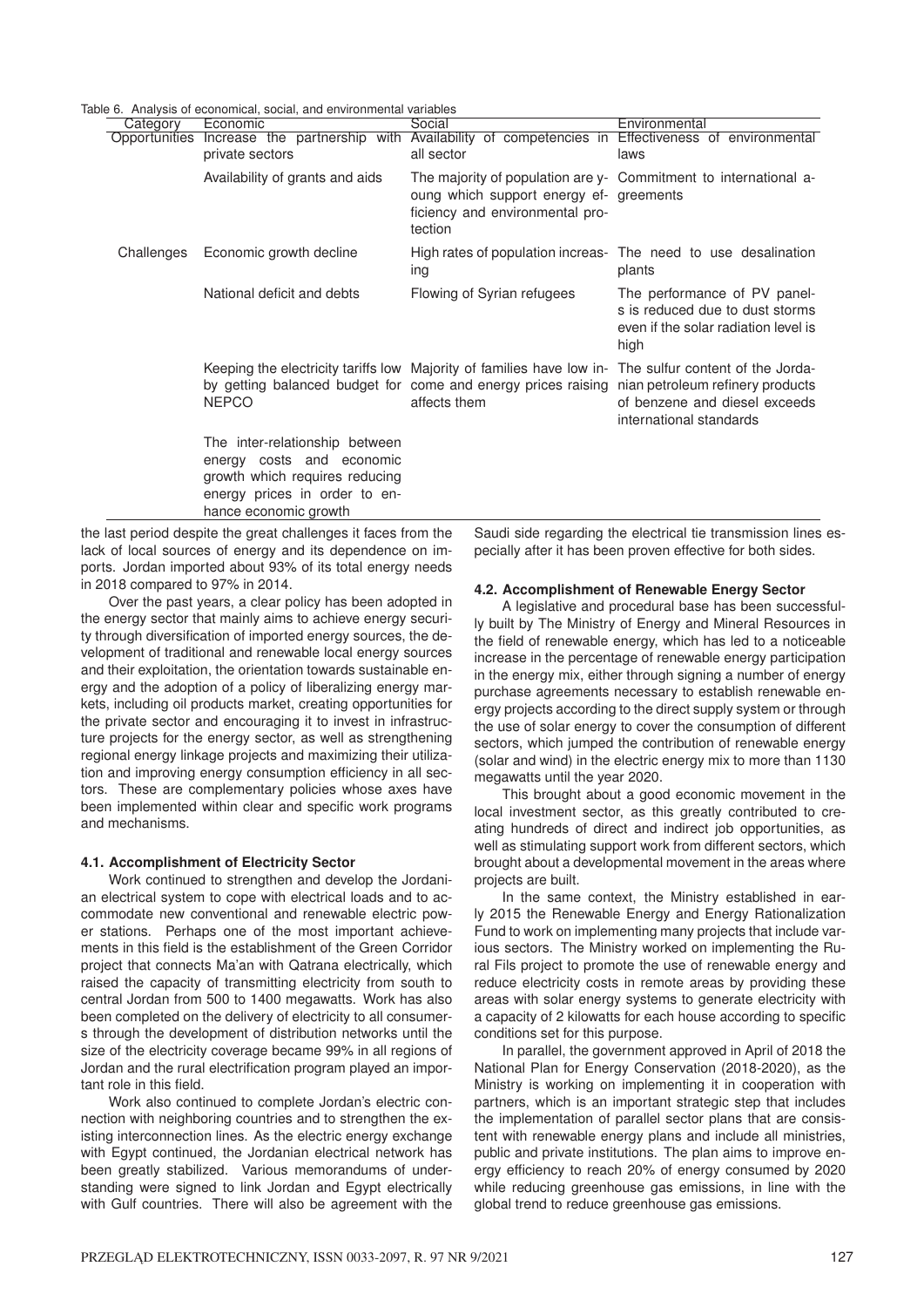Table 6. Analysis of economical, social, and environmental variables

| Category   | 0. Thialyold of cooriolitical, coolar, and chimoliticitian<br>Economic<br>private sectors                                                               | Social<br>Opportunities Increase the partnership with Availability of competencies in Effectiveness of environmental<br>all sector                                                      | Environmental<br>laws                                                                                           |
|------------|---------------------------------------------------------------------------------------------------------------------------------------------------------|-----------------------------------------------------------------------------------------------------------------------------------------------------------------------------------------|-----------------------------------------------------------------------------------------------------------------|
|            | Availability of grants and aids                                                                                                                         | oung which support energy ef-greements<br>ficiency and environmental pro-<br>tection                                                                                                    | The majority of population are y- Commitment to international a-                                                |
| Challenges | Economic growth decline                                                                                                                                 | ing                                                                                                                                                                                     | High rates of population increas- The need to use desalination<br>plants                                        |
|            | National deficit and debts                                                                                                                              | Flowing of Syrian refugees                                                                                                                                                              | The performance of PV panel-<br>s is reduced due to dust storms<br>even if the solar radiation level is<br>high |
|            | <b>NEPCO</b>                                                                                                                                            | Keeping the electricity tariffs low Majority of families have low in- The sulfur content of the Jorda-<br>by getting balanced budget for come and energy prices raising<br>affects them | nian petroleum refinery products<br>of benzene and diesel exceeds<br>international standards                    |
|            | The inter-relationship between<br>energy costs and economic<br>growth which requires reducing<br>energy prices in order to en-<br>hance economic growth |                                                                                                                                                                                         |                                                                                                                 |

the last period despite the great challenges it faces from the lack of local sources of energy and its dependence on imports. Jordan imported about 93% of its total energy needs in 2018 compared to 97% in 2014.

Over the past years, a clear policy has been adopted in the energy sector that mainly aims to achieve energy security through diversification of imported energy sources, the development of traditional and renewable local energy sources and their exploitation, the orientation towards sustainable energy and the adoption of a policy of liberalizing energy markets, including oil products market, creating opportunities for the private sector and encouraging it to invest in infrastructure projects for the energy sector, as well as strengthening regional energy linkage projects and maximizing their utilization and improving energy consumption efficiency in all sectors. These are complementary policies whose axes have been implemented within clear and specific work programs and mechanisms.

#### **4.1. Accomplishment of Electricity Sector**

Work continued to strengthen and develop the Jordanian electrical system to cope with electrical loads and to accommodate new conventional and renewable electric power stations. Perhaps one of the most important achievements in this field is the establishment of the Green Corridor project that connects Ma'an with Qatrana electrically, which raised the capacity of transmitting electricity from south to central Jordan from 500 to 1400 megawatts. Work has also been completed on the delivery of electricity to all consumers through the development of distribution networks until the size of the electricity coverage became 99% in all regions of Jordan and the rural electrification program played an important role in this field.

Work also continued to complete Jordan's electric connection with neighboring countries and to strengthen the existing interconnection lines. As the electric energy exchange with Egypt continued, the Jordanian electrical network has been greatly stabilized. Various memorandums of understanding were signed to link Jordan and Egypt electrically with Gulf countries. There will also be agreement with the

Saudi side regarding the electrical tie transmission lines especially after it has been proven effective for both sides.

#### **4.2. Accomplishment of Renewable Energy Sector**

A legislative and procedural base has been successfully built by The Ministry of Energy and Mineral Resources in the field of renewable energy, which has led to a noticeable increase in the percentage of renewable energy participation in the energy mix, either through signing a number of energy purchase agreements necessary to establish renewable energy projects according to the direct supply system or through the use of solar energy to cover the consumption of different sectors, which jumped the contribution of renewable energy (solar and wind) in the electric energy mix to more than 1130 megawatts until the year 2020.

This brought about a good economic movement in the local investment sector, as this greatly contributed to creating hundreds of direct and indirect job opportunities, as well as stimulating support work from different sectors, which brought about a developmental movement in the areas where projects are built.

In the same context, the Ministry established in early 2015 the Renewable Energy and Energy Rationalization Fund to work on implementing many projects that include various sectors. The Ministry worked on implementing the Rural Fils project to promote the use of renewable energy and reduce electricity costs in remote areas by providing these areas with solar energy systems to generate electricity with a capacity of 2 kilowatts for each house according to specific conditions set for this purpose.

In parallel, the government approved in April of 2018 the National Plan for Energy Conservation (2018-2020), as the Ministry is working on implementing it in cooperation with partners, which is an important strategic step that includes the implementation of parallel sector plans that are consistent with renewable energy plans and include all ministries, public and private institutions. The plan aims to improve energy efficiency to reach 20% of energy consumed by 2020 while reducing greenhouse gas emissions, in line with the global trend to reduce greenhouse gas emissions.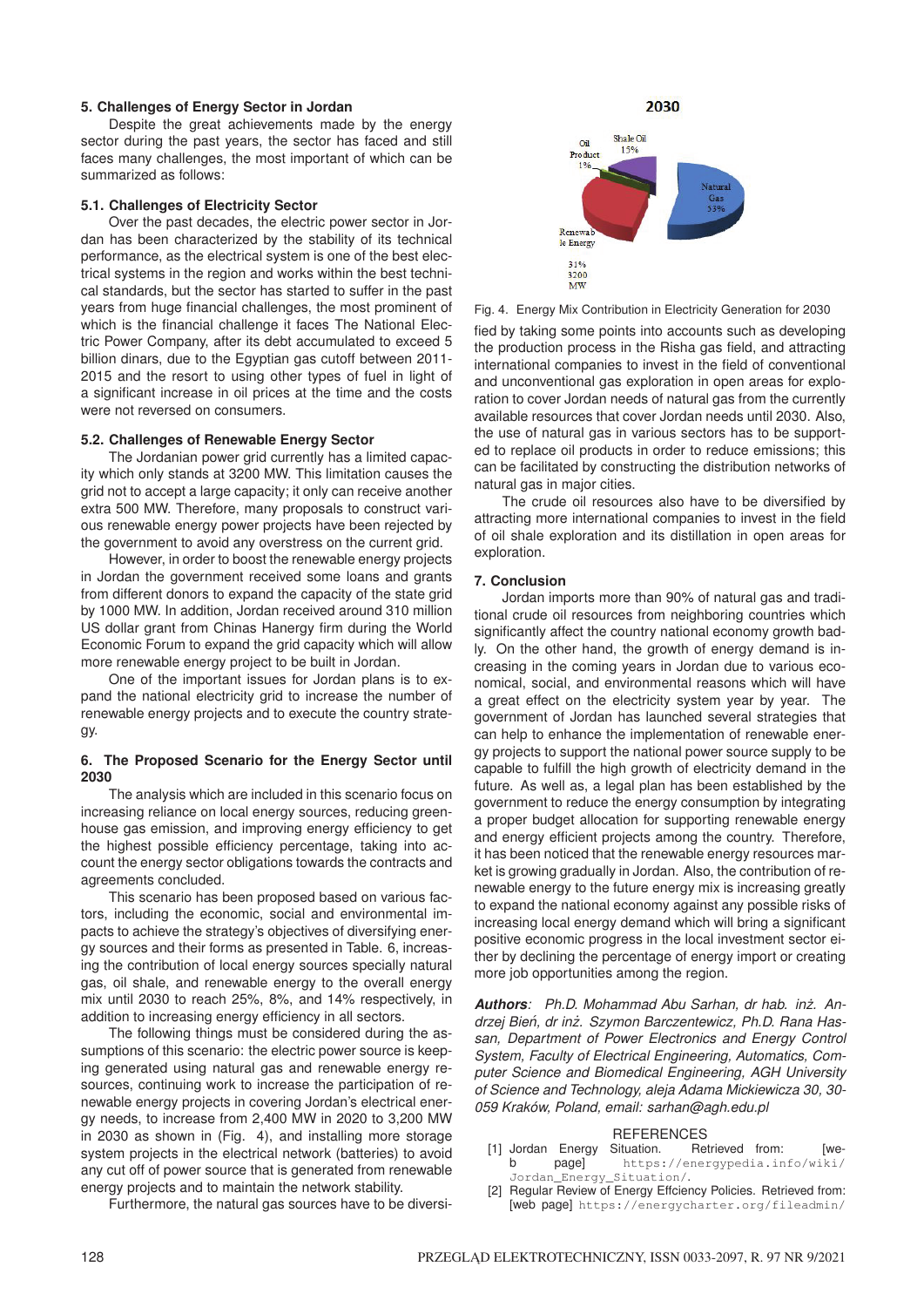#### **5. Challenges of Energy Sector in Jordan**

Despite the great achievements made by the energy sector during the past years, the sector has faced and still faces many challenges, the most important of which can be summarized as follows:

#### **5.1. Challenges of Electricity Sector**

Over the past decades, the electric power sector in Jordan has been characterized by the stability of its technical performance, as the electrical system is one of the best electrical systems in the region and works within the best technical standards, but the sector has started to suffer in the past years from huge financial challenges, the most prominent of which is the financial challenge it faces The National Electric Power Company, after its debt accumulated to exceed 5 billion dinars, due to the Egyptian gas cutoff between 2011- 2015 and the resort to using other types of fuel in light of a significant increase in oil prices at the time and the costs were not reversed on consumers.

### **5.2. Challenges of Renewable Energy Sector**

The Jordanian power grid currently has a limited capacity which only stands at 3200 MW. This limitation causes the grid not to accept a large capacity; it only can receive another extra 500 MW. Therefore, many proposals to construct various renewable energy power projects have been rejected by the government to avoid any overstress on the current grid.

However, in order to boost the renewable energy projects in Jordan the government received some loans and grants from different donors to expand the capacity of the state grid by 1000 MW. In addition, Jordan received around 310 million US dollar grant from Chinas Hanergy firm during the World Economic Forum to expand the grid capacity which will allow more renewable energy project to be built in Jordan.

One of the important issues for Jordan plans is to expand the national electricity grid to increase the number of renewable energy projects and to execute the country strategy.

#### **6. The Proposed Scenario for the Energy Sector until 2030**

The analysis which are included in this scenario focus on increasing reliance on local energy sources, reducing greenhouse gas emission, and improving energy efficiency to get the highest possible efficiency percentage, taking into account the energy sector obligations towards the contracts and agreements concluded.

This scenario has been proposed based on various factors, including the economic, social and environmental impacts to achieve the strategy's objectives of diversifying energy sources and their forms as presented in Table. 6, increasing the contribution of local energy sources specially natural gas, oil shale, and renewable energy to the overall energy mix until 2030 to reach 25%, 8%, and 14% respectively, in addition to increasing energy efficiency in all sectors.

The following things must be considered during the assumptions of this scenario: the electric power source is keeping generated using natural gas and renewable energy resources, continuing work to increase the participation of renewable energy projects in covering Jordan's electrical energy needs, to increase from 2,400 MW in 2020 to 3,200 MW in 2030 as shown in (Fig. 4), and installing more storage system projects in the electrical network (batteries) to avoid any cut off of power source that is generated from renewable energy projects and to maintain the network stability.

Furthermore, the natural gas sources have to be diversi-

2030 Shale Oil  $\alpha$ 15% Product Renewal le Energy

 $31%$ 3200 MW

Fig. 4. Energy Mix Contribution in Electricity Generation for 2030 fied by taking some points into accounts such as developing the production process in the Risha gas field, and attracting international companies to invest in the field of conventional and unconventional gas exploration in open areas for exploration to cover Jordan needs of natural gas from the currently available resources that cover Jordan needs until 2030. Also, the use of natural gas in various sectors has to be supported to replace oil products in order to reduce emissions; this can be facilitated by constructing the distribution networks of natural gas in major cities.

The crude oil resources also have to be diversified by attracting more international companies to invest in the field of oil shale exploration and its distillation in open areas for exploration.

# **7. Conclusion**

Jordan imports more than 90% of natural gas and traditional crude oil resources from neighboring countries which significantly affect the country national economy growth badly. On the other hand, the growth of energy demand is increasing in the coming years in Jordan due to various economical, social, and environmental reasons which will have a great effect on the electricity system year by year. The government of Jordan has launched several strategies that can help to enhance the implementation of renewable energy projects to support the national power source supply to be capable to fulfill the high growth of electricity demand in the future. As well as, a legal plan has been established by the government to reduce the energy consumption by integrating a proper budget allocation for supporting renewable energy and energy efficient projects among the country. Therefore, it has been noticed that the renewable energy resources market is growing gradually in Jordan. Also, the contribution of renewable energy to the future energy mix is increasing greatly to expand the national economy against any possible risks of increasing local energy demand which will bring a significant positive economic progress in the local investment sector either by declining the percentage of energy import or creating more job opportunities among the region.

*Authors: Ph.D. Mohammad Abu Sarhan, dr hab. inz. An- ˙ drzej Bien, dr in ´ z. Szymon Barczentewicz, Ph.D. Rana Has- ˙ san, Department of Power Electronics and Energy Control System, Faculty of Electrical Engineering, Automatics, Computer Science and Biomedical Engineering, AGH University of Science and Technology, aleja Adama Mickiewicza 30, 30- 059 Kraków, Poland, email: sarhan@agh.edu.pl*

- REFERENCES<br>Situation. Retrieved from: [1] Jordan Energy Situation. Retrieved from: [we-<br>b page] https://energypedia.info/wiki/ page] https://energypedia.info/wiki/ Jordan\_Energy\_Situation/.
- [2] Regular Review of Energy Effciency Policies. Retrieved from: [web page] https://energycharter.org/fileadmin/